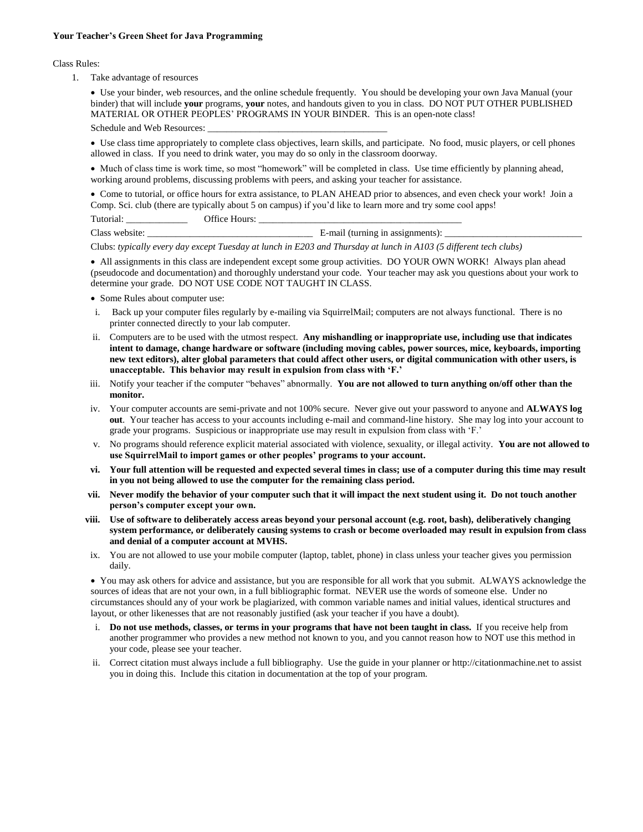## **Your Teacher's Green Sheet for Java Programming**

## Class Rules:

1. Take advantage of resources

 Use your binder, web resources, and the online schedule frequently. You should be developing your own Java Manual (your binder) that will include **your** programs, **your** notes, and handouts given to you in class. DO NOT PUT OTHER PUBLISHED MATERIAL OR OTHER PEOPLES' PROGRAMS IN YOUR BINDER. This is an open-note class!

Schedule and Web Resources:

 Use class time appropriately to complete class objectives, learn skills, and participate. No food, music players, or cell phones allowed in class. If you need to drink water, you may do so only in the classroom doorway.

 Much of class time is work time, so most "homework" will be completed in class. Use time efficiently by planning ahead, working around problems, discussing problems with peers, and asking your teacher for assistance.

 Come to tutorial, or office hours for extra assistance, to PLAN AHEAD prior to absences, and even check your work! Join a Comp. Sci. club (there are typically about 5 on campus) if you'd like to learn more and try some cool apps!

Tutorial: Coffice Hours:

Class website: \_\_\_\_\_\_\_\_\_\_\_\_\_\_\_\_\_\_\_\_\_\_\_\_\_\_\_\_\_\_\_\_\_\_\_ E-mail (turning in assignments): \_\_\_\_\_\_\_\_\_\_\_\_\_\_\_\_\_\_\_\_\_\_\_\_\_\_\_\_\_

Clubs: *typically every day except Tuesday at lunch in E203 and Thursday at lunch in A103 (5 different tech clubs)*

 All assignments in this class are independent except some group activities. DO YOUR OWN WORK! Always plan ahead (pseudocode and documentation) and thoroughly understand your code. Your teacher may ask you questions about your work to determine your grade. DO NOT USE CODE NOT TAUGHT IN CLASS.

- Some Rules about computer use:
- i. Back up your computer files regularly by e-mailing via SquirrelMail; computers are not always functional. There is no printer connected directly to your lab computer.
- ii. Computers are to be used with the utmost respect. **Any mishandling or inappropriate use, including use that indicates intent to damage, change hardware or software (including moving cables, power sources, mice, keyboards, importing new text editors), alter global parameters that could affect other users, or digital communication with other users, is unacceptable. This behavior may result in expulsion from class with 'F.'**
- iii. Notify your teacher if the computer "behaves" abnormally. **You are not allowed to turn anything on/off other than the monitor.**
- iv. Your computer accounts are semi-private and not 100% secure. Never give out your password to anyone and **ALWAYS log out**. Your teacher has access to your accounts including e-mail and command-line history. She may log into your account to grade your programs. Suspicious or inappropriate use may result in expulsion from class with 'F.'
- v. No programs should reference explicit material associated with violence, sexuality, or illegal activity. **You are not allowed to use SquirrelMail to import games or other peoples' programs to your account.**
- **vi. Your full attention will be requested and expected several times in class; use of a computer during this time may result in you not being allowed to use the computer for the remaining class period.**
- **vii. Never modify the behavior of your computer such that it will impact the next student using it. Do not touch another person's computer except your own.**
- **viii. Use of software to deliberately access areas beyond your personal account (e.g. root, bash), deliberatively changing system performance, or deliberately causing systems to crash or become overloaded may result in expulsion from class and denial of a computer account at MVHS.**
- ix. You are not allowed to use your mobile computer (laptop, tablet, phone) in class unless your teacher gives you permission daily.

 You may ask others for advice and assistance, but you are responsible for all work that you submit. ALWAYS acknowledge the sources of ideas that are not your own, in a full bibliographic format. NEVER use the words of someone else. Under no circumstances should any of your work be plagiarized, with common variable names and initial values, identical structures and layout, or other likenesses that are not reasonably justified (ask your teacher if you have a doubt).

- i. **Do not use methods, classes, or terms in your programs that have not been taught in class.** If you receive help from another programmer who provides a new method not known to you, and you cannot reason how to NOT use this method in your code, please see your teacher.
- ii. Correct citation must always include a full bibliography. Use the guide in your planner or http://citationmachine.net to assist you in doing this. Include this citation in documentation at the top of your program.